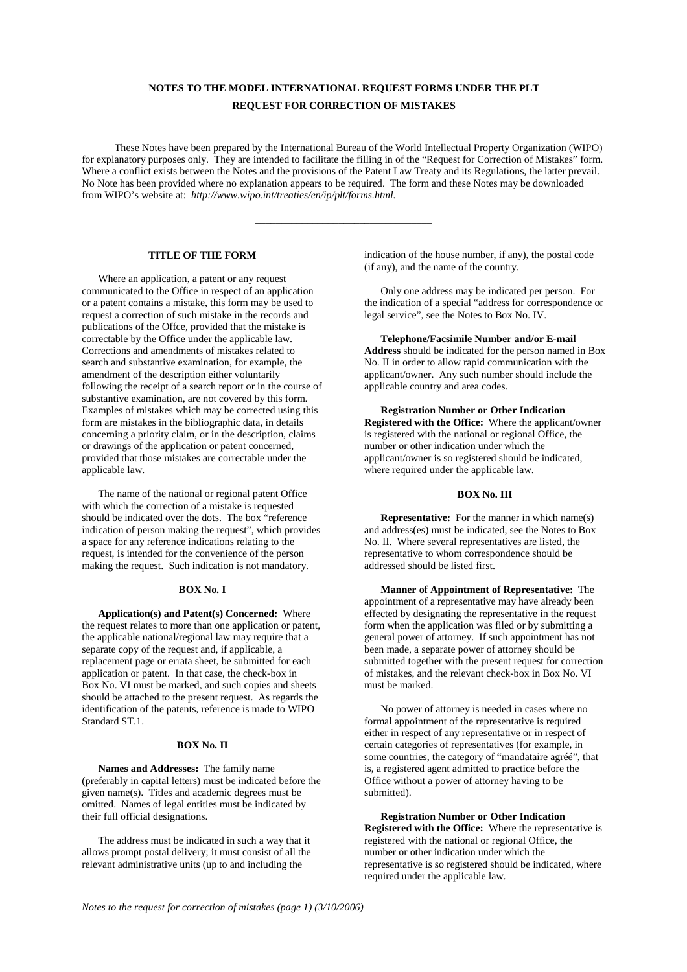# **NOTES TO THE MODEL INTERNATIONAL REQUEST FORMS UNDER THE PLT REQUEST FOR CORRECTION OF MISTAKES**

These Notes have been prepared by the International Bureau of the World Intellectual Property Organization (WIPO) for explanatory purposes only. They are intended to facilitate the filling in of the "Request for Correction of Mistakes" form. Where a conflict exists between the Notes and the provisions of the Patent Law Treaty and its Regulations, the latter prevail. No Note has been provided where no explanation appears to be required. The form and these Notes may be downloaded from WIPO's website at: *http://www.wipo.int/treaties/en/ip/plt/forms.html.*

\_\_\_\_\_\_\_\_\_\_\_\_\_\_\_\_\_\_\_\_\_\_\_\_\_\_\_\_\_\_\_\_\_\_

## **TITLE OF THE FORM**

Where an application, a patent or any request communicated to the Office in respect of an application or a patent contains a mistake, this form may be used to request a correction of such mistake in the records and publications of the Offce, provided that the mistake is correctable by the Office under the applicable law. Corrections and amendments of mistakes related to search and substantive examination, for example, the amendment of the description either voluntarily following the receipt of a search report or in the course of substantive examination, are not covered by this form. Examples of mistakes which may be corrected using this form are mistakes in the bibliographic data, in details concerning a priority claim, or in the description, claims or drawings of the application or patent concerned, provided that those mistakes are correctable under the applicable law.

The name of the national or regional patent Office with which the correction of a mistake is requested should be indicated over the dots. The box "reference indication of person making the request", which provides a space for any reference indications relating to the request, is intended for the convenience of the person making the request. Such indication is not mandatory.

#### **BOX No. I**

**Application(s) and Patent(s) Concerned:** Where the request relates to more than one application or patent, the applicable national/regional law may require that a separate copy of the request and, if applicable, a replacement page or errata sheet, be submitted for each application or patent. In that case, the check-box in Box No. VI must be marked, and such copies and sheets should be attached to the present request. As regards the identification of the patents, reference is made to WIPO Standard ST.1.

#### **BOX No. II**

**Names and Addresses:** The family name (preferably in capital letters) must be indicated before the given name(s). Titles and academic degrees must be omitted. Names of legal entities must be indicated by their full official designations.

The address must be indicated in such a way that it allows prompt postal delivery; it must consist of all the relevant administrative units (up to and including the

indication of the house number, if any), the postal code (if any), and the name of the country.

Only one address may be indicated per person. For the indication of a special "address for correspondence or legal service", see the Notes to Box No. IV.

**Telephone/Facsimile Number and/or E-mail Address** should be indicated for the person named in Box No. II in order to allow rapid communication with the applicant/owner. Any such number should include the applicable country and area codes.

**Registration Number or Other Indication Registered with the Office:** Where the applicant/owner is registered with the national or regional Office, the number or other indication under which the applicant/owner is so registered should be indicated, where required under the applicable law.

## **BOX No. III**

**Representative:** For the manner in which name(s) and address(es) must be indicated, see the Notes to Box No. II. Where several representatives are listed, the representative to whom correspondence should be addressed should be listed first.

**Manner of Appointment of Representative:** The appointment of a representative may have already been effected by designating the representative in the request form when the application was filed or by submitting a general power of attorney. If such appointment has not been made, a separate power of attorney should be submitted together with the present request for correction of mistakes, and the relevant check-box in Box No. VI must be marked.

No power of attorney is needed in cases where no formal appointment of the representative is required either in respect of any representative or in respect of certain categories of representatives (for example, in some countries, the category of "mandataire agréé", that is, a registered agent admitted to practice before the Office without a power of attorney having to be submitted).

**Registration Number or Other Indication Registered with the Office:** Where the representative is registered with the national or regional Office, the number or other indication under which the representative is so registered should be indicated, where required under the applicable law.